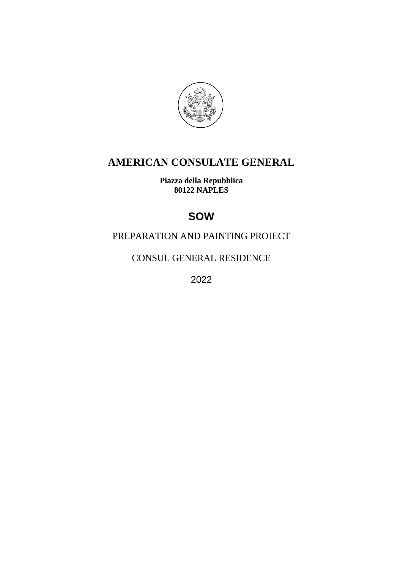

# **AMERICAN CONSULATE GENERAL**

**Piazza della Repubblica 80122 NAPLES**

# **SOW**

## PREPARATION AND PAINTING PROJECT

CONSUL GENERAL RESIDENCE

2022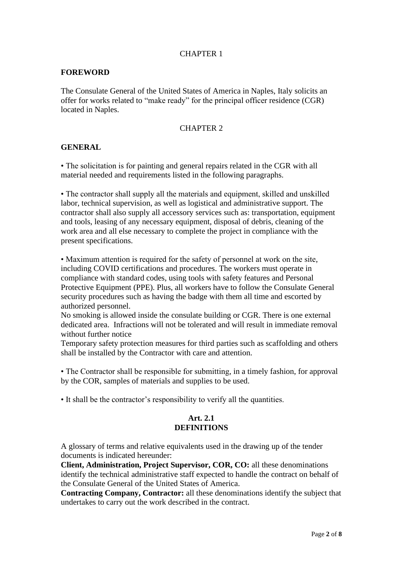#### CHAPTER 1

#### **FOREWORD**

The Consulate General of the United States of America in Naples, Italy solicits an offer for works related to "make ready" for the principal officer residence (CGR) located in Naples.

#### CHAPTER 2

#### **GENERAL**

• The solicitation is for painting and general repairs related in the CGR with all material needed and requirements listed in the following paragraphs.

• The contractor shall supply all the materials and equipment, skilled and unskilled labor, technical supervision, as well as logistical and administrative support. The contractor shall also supply all accessory services such as: transportation, equipment and tools, leasing of any necessary equipment, disposal of debris, cleaning of the work area and all else necessary to complete the project in compliance with the present specifications.

• Maximum attention is required for the safety of personnel at work on the site, including COVID certifications and procedures. The workers must operate in compliance with standard codes, using tools with safety features and Personal Protective Equipment (PPE). Plus, all workers have to follow the Consulate General security procedures such as having the badge with them all time and escorted by authorized personnel.

No smoking is allowed inside the consulate building or CGR. There is one external dedicated area. Infractions will not be tolerated and will result in immediate removal without further notice

Temporary safety protection measures for third parties such as scaffolding and others shall be installed by the Contractor with care and attention.

• The Contractor shall be responsible for submitting, in a timely fashion, for approval by the COR, samples of materials and supplies to be used.

• It shall be the contractor's responsibility to verify all the quantities.

#### **Art. 2.1 DEFINITIONS**

A glossary of terms and relative equivalents used in the drawing up of the tender documents is indicated hereunder:

**Client, Administration, Project Supervisor, COR, CO:** all these denominations identify the technical administrative staff expected to handle the contract on behalf of the Consulate General of the United States of America.

**Contracting Company, Contractor:** all these denominations identify the subject that undertakes to carry out the work described in the contract.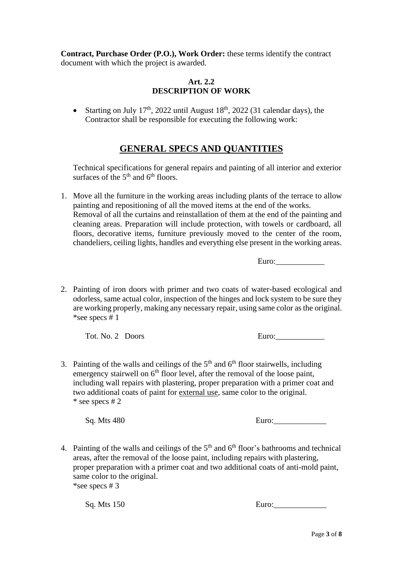**Contract, Purchase Order (P.O.), Work Order:** these terms identify the contract document with which the project is awarded.

#### **Art. 2.2 DESCRIPTION OF WORK**

• Starting on July  $17<sup>th</sup>$ , 2022 until August  $18<sup>th</sup>$ , 2022 (31 calendar days), the Contractor shall be responsible for executing the following work:

## **GENERAL SPECS AND QUANTITIES**

Technical specifications for general repairs and painting of all interior and exterior surfaces of the  $5<sup>th</sup>$  and  $6<sup>th</sup>$  floors.

1. Move all the furniture in the working areas including plants of the terrace to allow painting and repositioning of all the moved items at the end of the works. Removal of all the curtains and reinstallation of them at the end of the painting and cleaning areas. Preparation will include protection, with towels or cardboard, all floors, decorative items, furniture previously moved to the center of the room, chandeliers, ceiling lights, handles and everything else present in the working areas.

Euro:

2. Painting of iron doors with primer and two coats of water-based ecological and odorless, same actual color, inspection of the hinges and lock system to be sure they are working properly, making any necessary repair, using same color asthe original. \*see specs # 1

Tot. No. 2 Doors Euro:\_\_\_\_\_\_\_\_\_\_\_\_

3. Painting of the walls and ceilings of the  $5<sup>th</sup>$  and  $6<sup>th</sup>$  floor stairwells, including emergency stairwell on  $6<sup>th</sup>$  floor level, after the removal of the loose paint, including wall repairs with plastering, proper preparation with a primer coat and two additional coats of paint for external use, same color to the original. \* see specs # 2

 $Sq. Mts 480$  Euro:

4. Painting of the walls and ceilings of the  $5<sup>th</sup>$  and  $6<sup>th</sup>$  floor's bathrooms and technical areas, after the removal of the loose paint, including repairs with plastering, proper preparation with a primer coat and two additional coats of anti-mold paint, same color to the original. \*see specs # 3

Sq. Mts 150 Euro: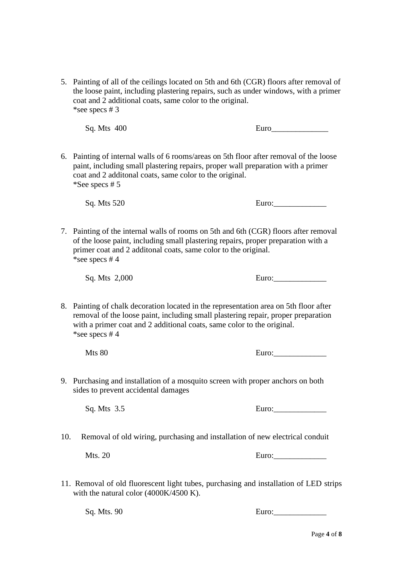5. Painting of all of the ceilings located on 5th and 6th (CGR) floors after removal of the loose paint, including plastering repairs, such as under windows, with a primer coat and 2 additional coats, same color to the original. \*see specs # 3

Sq. Mts 400 Euro

6. Painting of internal walls of 6 rooms/areas on 5th floor after removal of the loose paint, including small plastering repairs, proper wall preparation with a primer coat and 2 additonal coats, same color to the original. \*See specs # 5

Sq. Mts 520 Euro:

7. Painting of the internal walls of rooms on 5th and 6th (CGR) floors after removal of the loose paint, including small plastering repairs, proper preparation with a primer coat and 2 additonal coats, same color to the original. \*see specs # 4

8. Painting of chalk decoration located in the representation area on 5th floor after removal of the loose paint, including small plastering repair, proper preparation with a primer coat and 2 additional coats, same color to the original. \*see specs # 4

Mts 80 Euro:

9. Purchasing and installation of a mosquito screen with proper anchors on both sides to prevent accidental damages

10. Removal of old wiring, purchasing and installation of new electrical conduit

Mts. 20 Euro:

11. Removal of old fluorescent light tubes, purchasing and installation of LED strips with the natural color (4000K/4500 K).

 $Sq. Mts. 90$  Euro:

 $Sq. Mts$   $2,000$  Euro:

Sq. Mts 3.5 Euro:\_\_\_\_\_\_\_\_\_\_\_\_\_

Page **4** of **8**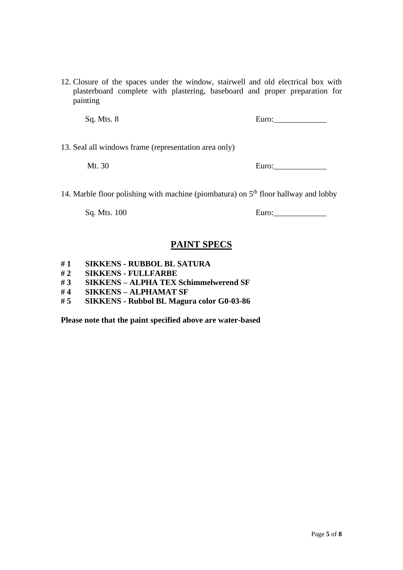12. Closure of the spaces under the window, stairwell and old electrical box with plasterboard complete with plastering, baseboard and proper preparation for painting

 $Sq. Mts. 8$  Euro:

13. Seal all windows frame (representation area only)

Mt. 30 Euro:

14. Marble floor polishing with machine (piombatura) on  $5<sup>th</sup>$  floor hallway and lobby

 $Sq. Mts. 100$  Euro:

## **PAINT SPECS**

- **# 1 SIKKENS - RUBBOL BL SATURA**
- **# 2 SIKKENS - FULLFARBE**
- **# 3 SIKKENS – ALPHA TEX Schimmelwerend SF**
- **# 4 SIKKENS – ALPHAMAT SF**
- **# 5 SIKKENS - Rubbol BL Magura color G0-03-86**

**Please note that the paint specified above are water-based**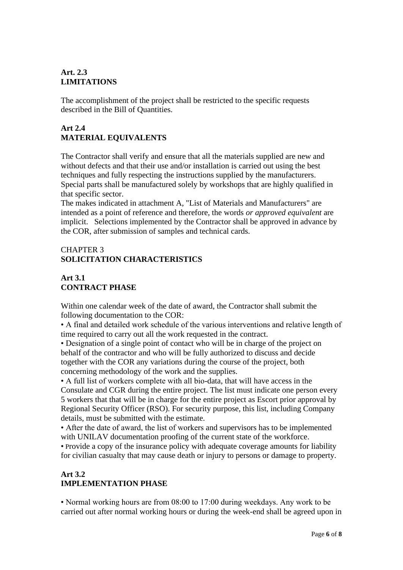#### **Art. 2.3 LIMITATIONS**

The accomplishment of the project shall be restricted to the specific requests described in the Bill of Quantities.

## **Art 2.4 MATERIAL EQUIVALENTS**

The Contractor shall verify and ensure that all the materials supplied are new and without defects and that their use and/or installation is carried out using the best techniques and fully respecting the instructions supplied by the manufacturers. Special parts shall be manufactured solely by workshops that are highly qualified in that specific sector.

The makes indicated in attachment A, "List of Materials and Manufacturers" are intended as a point of reference and therefore, the words *or approved equivalent* are implicit. Selections implemented by the Contractor shall be approved in advance by the COR, after submission of samples and technical cards.

## CHAPTER 3 **SOLICITATION CHARACTERISTICS**

## **Art 3.1 CONTRACT PHASE**

Within one calendar week of the date of award, the Contractor shall submit the following documentation to the COR:

• A final and detailed work schedule of the various interventions and relative length of time required to carry out all the work requested in the contract.

• Designation of a single point of contact who will be in charge of the project on behalf of the contractor and who will be fully authorized to discuss and decide together with the COR any variations during the course of the project, both concerning methodology of the work and the supplies.

• A full list of workers complete with all bio-data, that will have access in the Consulate and CGR during the entire project. The list must indicate one person every 5 workers that that will be in charge for the entire project as Escort prior approval by Regional Security Officer (RSO). For security purpose, this list, including Company details, must be submitted with the estimate.

• After the date of award, the list of workers and supervisors has to be implemented with UNILAV documentation proofing of the current state of the workforce.

• Provide a copy of the insurance policy with adequate coverage amounts for liability for civilian casualty that may cause death or injury to persons or damage to property.

## **Art 3.2 IMPLEMENTATION PHASE**

• Normal working hours are from 08:00 to 17:00 during weekdays. Any work to be carried out after normal working hours or during the week-end shall be agreed upon in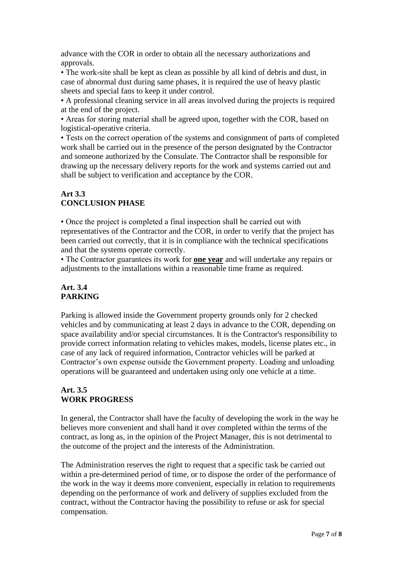advance with the COR in order to obtain all the necessary authorizations and approvals.

• The work-site shall be kept as clean as possible by all kind of debris and dust, in case of abnormal dust during same phases, it is required the use of heavy plastic sheets and special fans to keep it under control.

• A professional cleaning service in all areas involved during the projects is required at the end of the project.

• Areas for storing material shall be agreed upon, together with the COR, based on logistical-operative criteria.

• Tests on the correct operation of the systems and consignment of parts of completed work shall be carried out in the presence of the person designated by the Contractor and someone authorized by the Consulate. The Contractor shall be responsible for drawing up the necessary delivery reports for the work and systems carried out and shall be subject to verification and acceptance by the COR.

## **Art 3.3 CONCLUSION PHASE**

• Once the project is completed a final inspection shall be carried out with representatives of the Contractor and the COR, in order to verify that the project has been carried out correctly, that it is in compliance with the technical specifications and that the systems operate correctly.

• The Contractor guarantees its work for **one year** and will undertake any repairs or adjustments to the installations within a reasonable time frame as required.

## **Art. 3.4 PARKING**

Parking is allowed inside the Government property grounds only for 2 checked vehicles and by communicating at least 2 days in advance to the COR, depending on space availability and/or special circumstances. It is the Contractor's responsibility to provide correct information relating to vehicles makes, models, license plates etc., in case of any lack of required information, Contractor vehicles will be parked at Contractor's own expense outside the Government property. Loading and unloading operations will be guaranteed and undertaken using only one vehicle at a time.

## **Art. 3.5 WORK PROGRESS**

In general, the Contractor shall have the faculty of developing the work in the way he believes more convenient and shall hand it over completed within the terms of the contract, as long as, in the opinion of the Project Manager, this is not detrimental to the outcome of the project and the interests of the Administration.

The Administration reserves the right to request that a specific task be carried out within a pre-determined period of time, or to dispose the order of the performance of the work in the way it deems more convenient, especially in relation to requirements depending on the performance of work and delivery of supplies excluded from the contract, without the Contractor having the possibility to refuse or ask for special compensation.